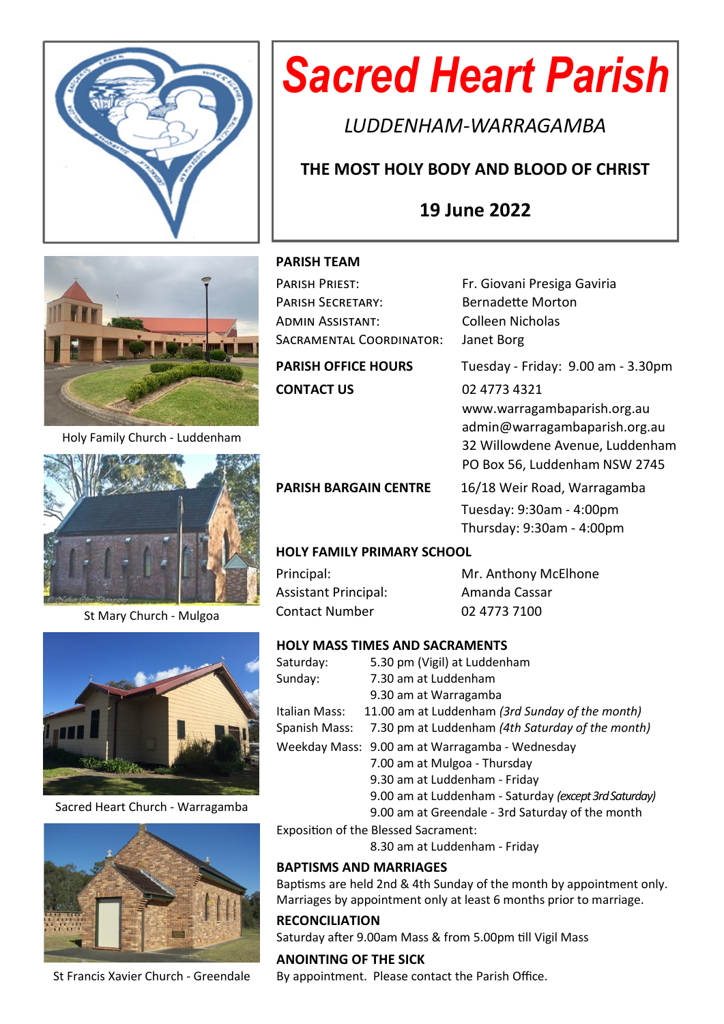

# *Sacred Heart Parish*

*LUDDENHAM-WARRAGAMBA*

# **THE MOST HOLY BODY AND BLOOD OF CHRIST**

# **19 June 2022**



Holy Family Church - Luddenham



St Mary Church - Mulgoa



Sacred Heart Church - Warragamba



St Francis Xavier Church - Greendale

#### **PARISH TEAM**

| PARISH PRIEST:             | Fr. Giovani Presiga Gaviria        |  |  |  |
|----------------------------|------------------------------------|--|--|--|
| <b>PARISH SECRETARY:</b>   | <b>Bernadette Morton</b>           |  |  |  |
| ADMIN ASSISTANT:           | Colleen Nicholas                   |  |  |  |
| SACRAMENTAL COORDINATOR:   | Janet Borg                         |  |  |  |
| <b>PARISH OFFICE HOURS</b> | Tuesday - Friday: 9.00 am - 3.30pm |  |  |  |
| <b>CONTACT US</b>          | 02 4773 4321                       |  |  |  |
|                            | www.warragambaparish.org.au        |  |  |  |
|                            | admin@warragambaparish.org.au      |  |  |  |
|                            | 32 Willowdene Avenue, Luddenham    |  |  |  |
|                            | PO Box 56, Luddenham NSW 2745      |  |  |  |

PARISH BARGAIN CENTRE 16/18 Weir Road, Warragamba Tuesday: 9:30am - 4:00pm Thursday: 9:30am - 4:00pm

#### **HOLY FAMILY PRIMARY SCHOOL**

Assistant Principal: Amanda Cassar Contact Number 02 4773 7100

Principal: Mr. Anthony McElhone

#### **HOLY MASS TIMES AND SACRAMENTS**

| Saturday:     | 5.30 pm (Vigil) at Luddenham                          |
|---------------|-------------------------------------------------------|
| Sunday:       | 7.30 am at Luddenham                                  |
|               | 9.30 am at Warragamba                                 |
| Italian Mass: | 11.00 am at Luddenham (3rd Sunday of the month)       |
| Spanish Mass: | 7.30 pm at Luddenham (4th Saturday of the month)      |
|               | Weekday Mass: 9.00 am at Warragamba - Wednesday       |
|               | 7.00 am at Mulgoa - Thursday                          |
|               | 9.30 am at Luddenham - Friday                         |
|               | 9.00 am at Luddenham - Saturday (except 3rd Saturday) |
|               | 9.00 am at Greendale - 3rd Saturday of the month      |

Exposition of the Blessed Sacrament:

8.30 am at Luddenham - Friday

#### **BAPTISMS AND MARRIAGES**

Baptisms are held 2nd & 4th Sunday of the month by appointment only. Marriages by appointment only at least 6 months prior to marriage.

#### **RECONCILIATION**

Saturday after 9.00am Mass & from 5.00pm till Vigil Mass

**ANOINTING OF THE SICK** By appointment. Please contact the Parish Office.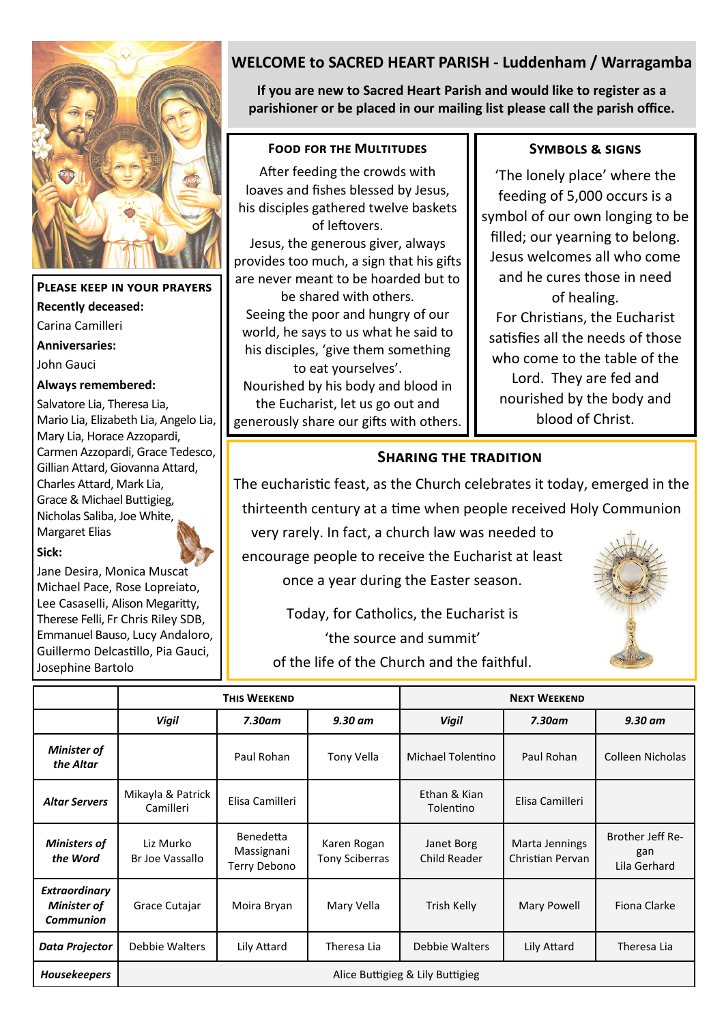

## **Please keep in your prayers Recently deceased:** Carina Camilleri

**Anniversaries:**

John Gauci

#### **Always remembered:**

Salvatore Lia, Theresa Lia, Mario Lia, Elizabeth Lia, Angelo Lia, Mary Lia, Horace Azzopardi, Carmen Azzopardi, Grace Tedesco, Gillian Attard, Giovanna Attard, Charles Attard, Mark Lia, Grace & Michael Buttigieg, Nicholas Saliba, Joe White, Margaret Elias

#### **Sick:**

Jane Desira, Monica Muscat Michael Pace, Rose Lopreiato, Lee Casaselli, Alison Megaritty, Therese Felli, Fr Chris Riley SDB, Emmanuel Bauso, Lucy Andaloro, Guillermo Delcastillo, Pia Gauci, Josephine Bartolo

# **WELCOME to SACRED HEART PARISH - Luddenham / Warragamba**

**If you are new to Sacred Heart Parish and would like to register as a parishioner or be placed in our mailing list please call the parish office.**

#### **Food for the Multitudes**

After feeding the crowds with loaves and fishes blessed by Jesus, his disciples gathered twelve baskets of leftovers.

Jesus, the generous giver, always provides too much, a sign that his gifts are never meant to be hoarded but to

be shared with others. Seeing the poor and hungry of our world, he says to us what he said to his disciples, 'give them something

to eat yourselves'. Nourished by his body and blood in the Eucharist, let us go out and generously share our gifts with others.

#### **Symbols & signs**

'The lonely place' where the feeding of 5,000 occurs is a symbol of our own longing to be filled; our yearning to belong. Jesus welcomes all who come and he cures those in need of healing. For Christians, the Eucharist satisfies all the needs of those who come to the table of the Lord. They are fed and nourished by the body and blood of Christ.

### **Sharing the tradition**

The eucharistic feast, as the Church celebrates it today, emerged in the thirteenth century at a time when people received Holy Communion

very rarely. In fact, a church law was needed to encourage people to receive the Eucharist at least once a year during the Easter season.



Today, for Catholics, the Eucharist is 'the source and summit' of the life of the Church and the faithful.

|                                                                | <b>THIS WEEKEND</b>              |                                                |                               | <b>NEXT WEEKEND</b>        |                                    |                                         |  |  |
|----------------------------------------------------------------|----------------------------------|------------------------------------------------|-------------------------------|----------------------------|------------------------------------|-----------------------------------------|--|--|
|                                                                | <b>Vigil</b>                     | $7.30$ am                                      | $9.30$ am                     | <b>Vigil</b>               | $7.30$ am                          | $9.30$ am                               |  |  |
| <b>Minister of</b><br>the Altar                                |                                  | Paul Rohan                                     | Tony Vella                    | Michael Tolentino          | Paul Rohan                         | Colleen Nicholas                        |  |  |
| <b>Altar Servers</b>                                           | Mikayla & Patrick<br>Camilleri   | Elisa Camilleri                                |                               | Ethan & Kian<br>Tolentino  | Elisa Camilleri                    |                                         |  |  |
| <b>Ministers of</b><br>the Word                                | Liz Murko<br>Br Joe Vassallo     | <b>Benedetta</b><br>Massignani<br>Terry Debono | Karen Rogan<br>Tony Sciberras | Janet Borg<br>Child Reader | Marta Jennings<br>Christian Pervan | Brother Jeff Re-<br>gan<br>Lila Gerhard |  |  |
| <b>Extraordinary</b><br><b>Minister of</b><br><b>Communion</b> | Grace Cutajar                    | Moira Bryan                                    | Mary Vella                    | Trish Kelly                | Mary Powell                        | Fiona Clarke                            |  |  |
| <b>Data Projector</b>                                          | Debbie Walters                   | Lily Attard                                    | Theresa Lia                   | Debbie Walters             | Lily Attard                        | Theresa Lia                             |  |  |
| <b>Housekeepers</b>                                            | Alice Buttigieg & Lily Buttigieg |                                                |                               |                            |                                    |                                         |  |  |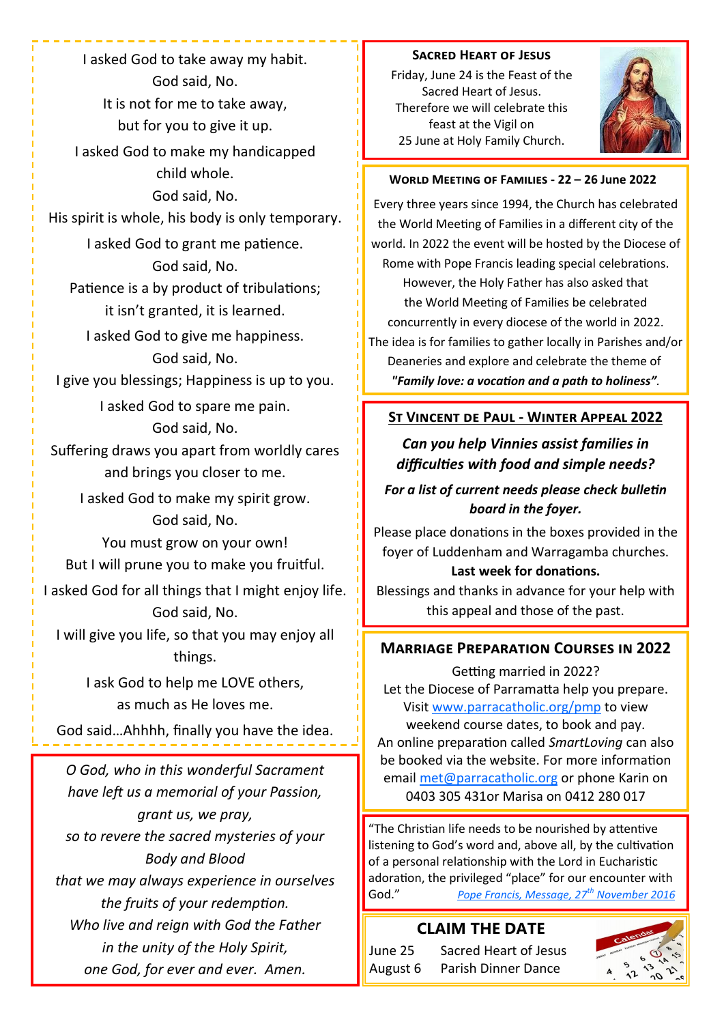I asked God to take away my habit. God said, No. It is not for me to take away, but for you to give it up. I asked God to make my handicapped child whole. God said, No. His spirit is whole, his body is only temporary. I asked God to grant me patience. God said, No. Patience is a by product of tribulations; it isn't granted, it is learned. I asked God to give me happiness. God said, No. I give you blessings; Happiness is up to you. I asked God to spare me pain. God said, No. Suffering draws you apart from worldly cares and brings you closer to me. I asked God to make my spirit grow. God said, No. You must grow on your own! But I will prune you to make you fruitful. I asked God for all things that I might enjoy life. God said, No. I will give you life, so that you may enjoy all things. I ask God to help me LOVE others, as much as He loves me. God said…Ahhhh, finally you have the idea.

*O God, who in this wonderful Sacrament have left us a memorial of your Passion, grant us, we pray, so to revere the sacred mysteries of your Body and Blood that we may always experience in ourselves the fruits of your redemption. Who live and reign with God the Father in the unity of the Holy Spirit, one God, for ever and ever. Amen.* 

#### **Sacred Heart of Jesus**

Friday, June 24 is the Feast of the Sacred Heart of Jesus. Therefore we will celebrate this feast at the Vigil on 25 June at Holy Family Church.



#### **World Meeting of Families - 22 – 26 June 2022**

Every three years since 1994, the Church has celebrated the World Meeting of Families in a different city of the world. In 2022 the event will be hosted by the Diocese of Rome with Pope Francis leading special celebrations. However, the Holy Father has also asked that the World Meeting of Families be celebrated concurrently in every diocese of the world in 2022. The idea is for families to gather locally in Parishes and/or Deaneries and explore and celebrate the theme of  *"Family love: a vocation and a path to holiness".* 

#### **St Vincent de Paul - Winter Appeal 2022**

## *Can you help Vinnies assist families in difficulties with food and simple needs?*

## *For a list of current needs please check bulletin board in the foyer.*

Please place donations in the boxes provided in the foyer of Luddenham and Warragamba churches.

#### **Last week for donations.**

Blessings and thanks in advance for your help with this appeal and those of the past.

#### **Marriage Preparation Courses in 2022**

Getting married in 2022? Let the Diocese of Parramatta help you prepare. Visit [www.parracatholic.org/pmp](http://www.parracatholic.org/pmp) to view weekend course dates, to book and pay. An online preparation called *SmartLoving* can also be booked via the website. For more information email [met@parracatholic.org](mailto:met@parracatholic.org) or phone Karin on 0403 305 431or Marisa on 0412 280 017

"The Christian life needs to be nourished by attentive listening to God's word and, above all, by the cultivation of a personal relationship with the Lord in Eucharistic adoration, the privileged "place" for our encounter with God." *[Pope Francis, Message, 27](http://w2.vatican.va/content/francesco/en/messages/vocations/documents/papa-francesco_20161127_54-messaggio-giornata-mondiale-vocazioni.html)th November 2016*

#### **CLAIM THE DATE**

June 25 Sacred Heart of Jesus August 6 Parish Dinner Dance